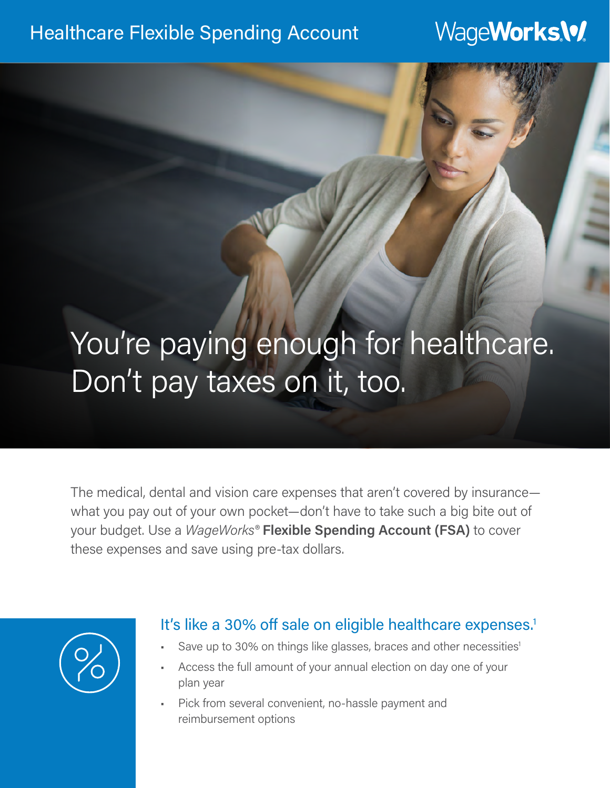### Healthcare Flexible Spending Account

## WageWorks.W.

# You're paying enough for healthcare. Don't pay taxes on it, too.

The medical, dental and vision care expenses that aren't covered by insurance what you pay out of your own pocket—don't have to take such a big bite out of your budget. Use a *WageWorks®* **Flexible Spending Account (FSA)** to cover these expenses and save using pre-tax dollars.



#### It's like a 30% off sale on eligible healthcare expenses.<sup>1</sup>

- Save up to 30% on things like glasses, braces and other necessities<sup>1</sup>
- Access the full amount of your annual election on day one of your plan year
- Pick from several convenient, no-hassle payment and reimbursement options